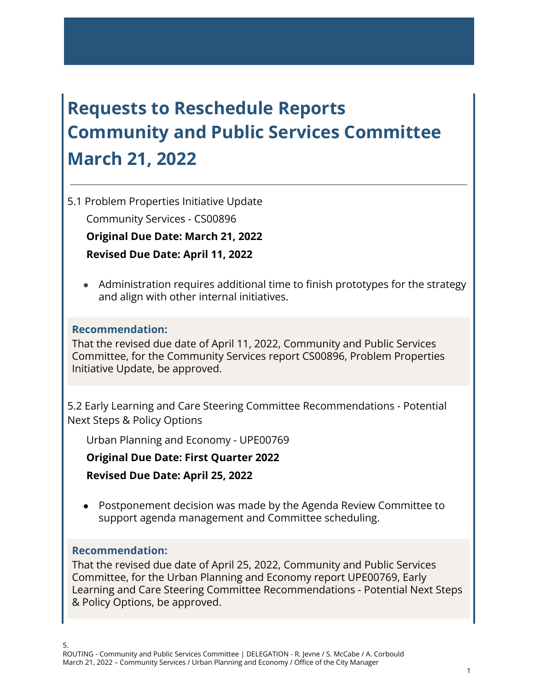# **Requests to Reschedule Reports Community and Public Services Committee March 21, 2022**

5.1 Problem Properties Initiative Update

Community Services - CS00896

**Original Due Date: March 21, 2022**

**Revised Due Date: April 11, 2022**

● Administration requires additional time to finish prototypes for the strategy and align with other internal initiatives.

# **Recommendation:**

That the revised due date of April 11, 2022, Community and Public Services Committee, for the Community Services report CS00896, Problem Properties Initiative Update, be approved.

5.2 Early Learning and Care Steering Committee Recommendations - Potential Next Steps & Policy Options

Urban Planning and Economy - UPE00769

**Original Due Date: First Quarter 2022**

**Revised Due Date: April 25, 2022**

● Postponement decision was made by the Agenda Review Committee to support agenda management and Committee scheduling.

### **Recommendation:**

That the revised due date of April 25, 2022, Community and Public Services Committee, for the Urban Planning and Economy report UPE00769, Early Learning and Care Steering Committee Recommendations - Potential Next Steps & Policy Options, be approved.